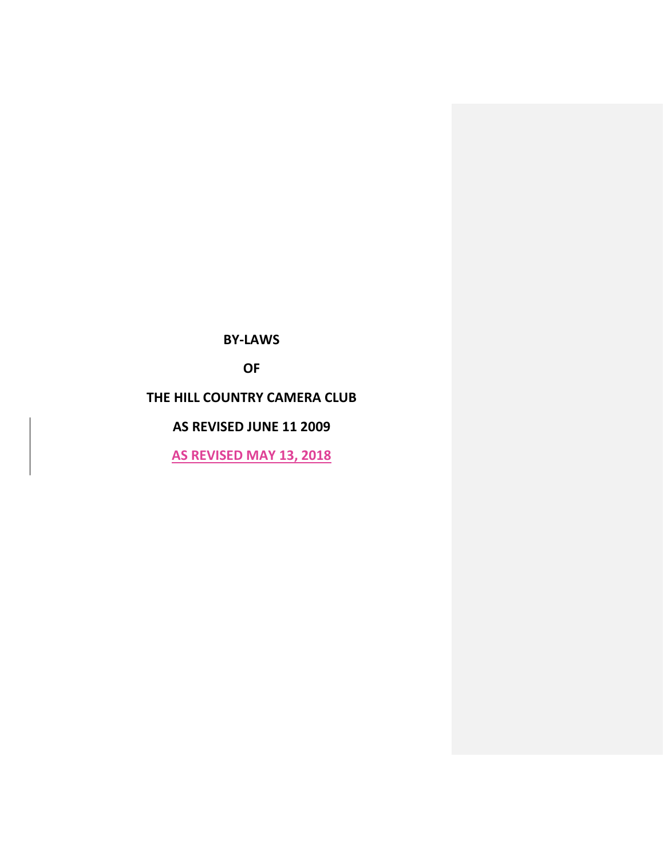**BY-LAWS**

**OF**

# **THE HILL COUNTRY CAMERA CLUB**

## **AS REVISED JUNE 11 2009**

**AS REVISED MAY 13, 2018**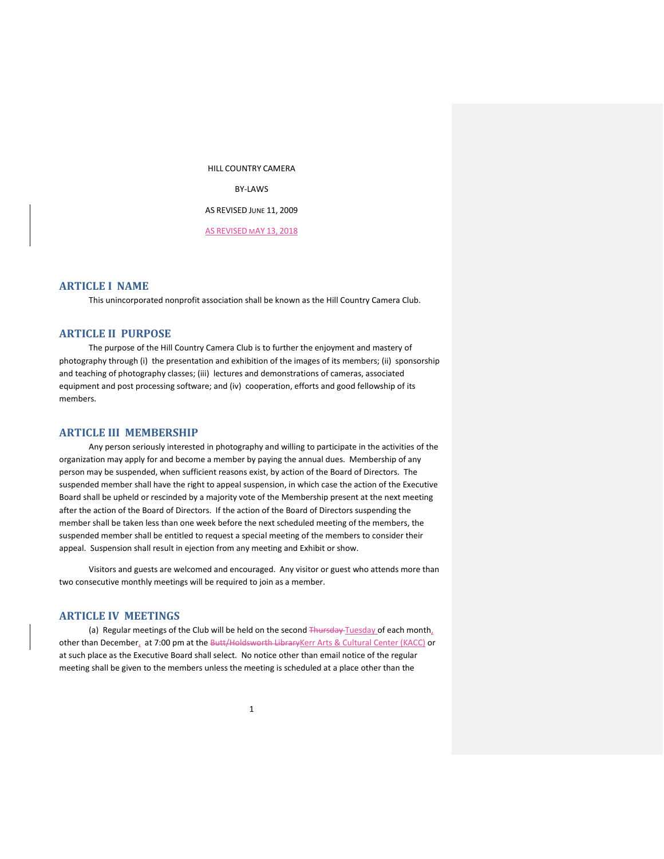HILL COUNTRY CAMERA BY-LAWS AS REVISED JUNE 11, 2009 AS REVISED MAY 13, 2018

### **ARTICLE I NAME**

This unincorporated nonprofit association shall be known as the Hill Country Camera Club.

## **ARTICLE II PURPOSE**

The purpose of the Hill Country Camera Club is to further the enjoyment and mastery of photography through (i) the presentation and exhibition of the images of its members; (ii) sponsorship and teaching of photography classes; (iii) lectures and demonstrations of cameras, associated equipment and post processing software; and (iv) cooperation, efforts and good fellowship of its members.

#### **ARTICLE III MEMBERSHIP**

Any person seriously interested in photography and willing to participate in the activities of the organization may apply for and become a member by paying the annual dues. Membership of any person may be suspended, when sufficient reasons exist, by action of the Board of Directors. The suspended member shall have the right to appeal suspension, in which case the action of the Executive Board shall be upheld or rescinded by a majority vote of the Membership present at the next meeting after the action of the Board of Directors. If the action of the Board of Directors suspending the member shall be taken less than one week before the next scheduled meeting of the members, the suspended member shall be entitled to request a special meeting of the members to consider their appeal. Suspension shall result in ejection from any meeting and Exhibit or show.

Visitors and guests are welcomed and encouraged. Any visitor or guest who attends more than two consecutive monthly meetings will be required to join as a member.

### **ARTICLE IV MEETINGS**

(a) Regular meetings of the Club will be held on the second Thursday Tuesday of each month, other than December, at 7:00 pm at the Butt/Holdsworth LibraryKerr Arts & Cultural Center (KACC) or at such place as the Executive Board shall select. No notice other than email notice of the regular meeting shall be given to the members unless the meeting is scheduled at a place other than the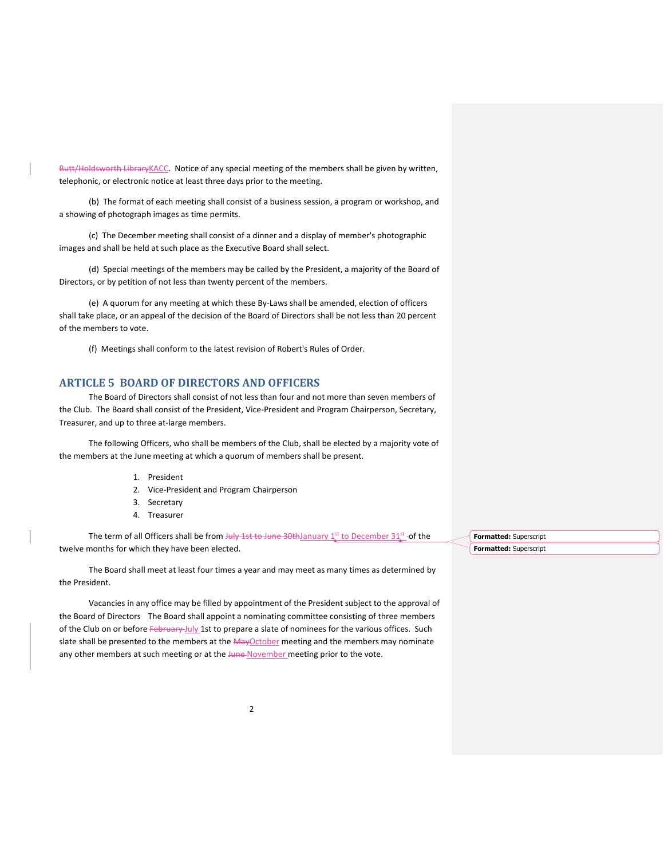Butt/Holdsworth LibraryKACC. Notice of any special meeting of the members shall be given by written, telephonic, or electronic notice at least three days prior to the meeting.

(b) The format of each meeting shall consist of a business session, a program or workshop, and a showing of photograph images as time permits.

(c) The December meeting shall consist of a dinner and a display of member's photographic images and shall be held at such place as the Executive Board shall select.

(d) Special meetings of the members may be called by the President, a majority of the Board of Directors, or by petition of not less than twenty percent of the members.

(e) A quorum for any meeting at which these By-Laws shall be amended, election of officers shall take place, or an appeal of the decision of the Board of Directors shall be not less than 20 percent of the members to vote.

(f) Meetings shall conform to the latest revision of Robert's Rules of Order.

## **ARTICLE 5 BOARD OF DIRECTORS AND OFFICERS**

The Board of Directors shall consist of not less than four and not more than seven members of the Club. The Board shall consist of the President, Vice-President and Program Chairperson, Secretary, Treasurer, and up to three at-large members.

The following Officers, who shall be members of the Club, shall be elected by a majority vote of the members at the June meeting at which a quorum of members shall be present.

- 1. President
- 2. Vice-President and Program Chairperson
- 3. Secretary
- 4. Treasurer

The term of all Officers shall be from  $J \psi$  1st to June 30th January 1st to December 31st of the twelve months for which they have been elected.

The Board shall meet at least four times a year and may meet as many times as determined by the President.

Vacancies in any office may be filled by appointment of the President subject to the approval of the Board of Directors The Board shall appoint a nominating committee consisting of three members of the Club on or before February-July 1st to prepare a slate of nominees for the various offices. Such slate shall be presented to the members at the MayOctober meeting and the members may nominate any other members at such meeting or at the June-November meeting prior to the vote.

**Formatted:** Superscript **Formatted:** Superscript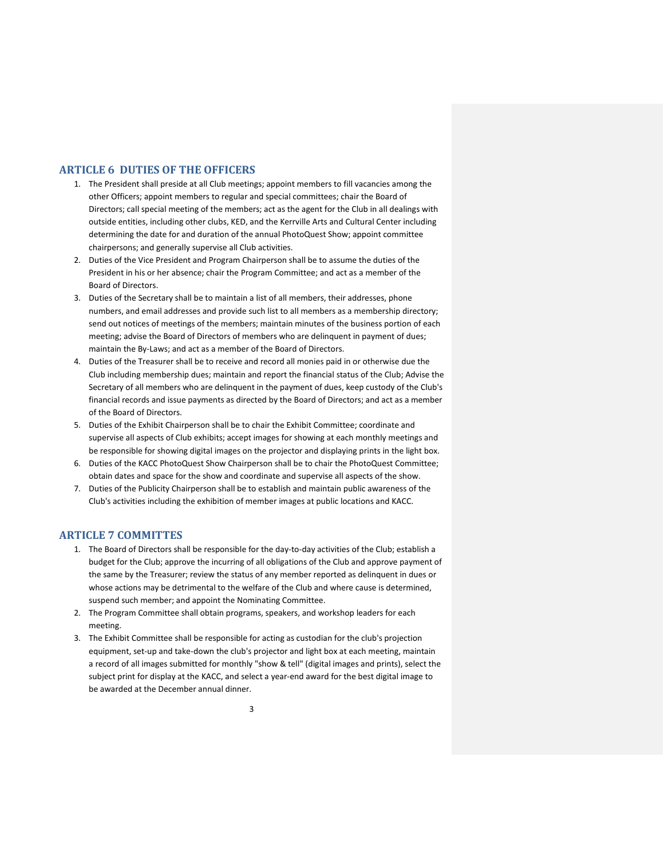## **ARTICLE 6 DUTIES OF THE OFFICERS**

- 1. The President shall preside at all Club meetings; appoint members to fill vacancies among the other Officers; appoint members to regular and special committees; chair the Board of Directors; call special meeting of the members; act as the agent for the Club in all dealings with outside entities, including other clubs, KED, and the Kerrville Arts and Cultural Center including determining the date for and duration of the annual PhotoQuest Show; appoint committee chairpersons; and generally supervise all Club activities.
- 2. Duties of the Vice President and Program Chairperson shall be to assume the duties of the President in his or her absence; chair the Program Committee; and act as a member of the Board of Directors.
- 3. Duties of the Secretary shall be to maintain a list of all members, their addresses, phone numbers, and email addresses and provide such list to all members as a membership directory; send out notices of meetings of the members; maintain minutes of the business portion of each meeting; advise the Board of Directors of members who are delinquent in payment of dues; maintain the By-Laws; and act as a member of the Board of Directors.
- 4. Duties of the Treasurer shall be to receive and record all monies paid in or otherwise due the Club including membership dues; maintain and report the financial status of the Club; Advise the Secretary of all members who are delinquent in the payment of dues, keep custody of the Club's financial records and issue payments as directed by the Board of Directors; and act as a member of the Board of Directors.
- 5. Duties of the Exhibit Chairperson shall be to chair the Exhibit Committee; coordinate and supervise all aspects of Club exhibits; accept images for showing at each monthly meetings and be responsible for showing digital images on the projector and displaying prints in the light box.
- 6. Duties of the KACC PhotoQuest Show Chairperson shall be to chair the PhotoQuest Committee; obtain dates and space for the show and coordinate and supervise all aspects of the show.
- 7. Duties of the Publicity Chairperson shall be to establish and maintain public awareness of the Club's activities including the exhibition of member images at public locations and KACC.

## **ARTICLE 7 COMMITTES**

- 1. The Board of Directors shall be responsible for the day-to-day activities of the Club; establish a budget for the Club; approve the incurring of all obligations of the Club and approve payment of the same by the Treasurer; review the status of any member reported as delinquent in dues or whose actions may be detrimental to the welfare of the Club and where cause is determined, suspend such member; and appoint the Nominating Committee.
- 2. The Program Committee shall obtain programs, speakers, and workshop leaders for each meeting.
- 3. The Exhibit Committee shall be responsible for acting as custodian for the club's projection equipment, set-up and take-down the club's projector and light box at each meeting, maintain a record of all images submitted for monthly "show & tell" (digital images and prints), select the subject print for display at the KACC, and select a year-end award for the best digital image to be awarded at the December annual dinner.